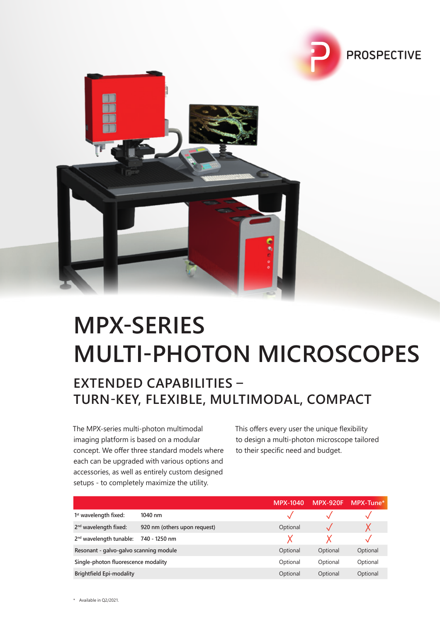



### **MPX-SERIES MULTI-PHOTON MICROSCOPES**

### **EXTENDED CAPABILITIES – TURN-KEY, FLEXIBLE, MULTIMODAL, COMPACT**

The MPX-series multi-photon multimodal imaging platform is based on a modular concept. We offer three standard models where each can be upgraded with various options and accessories, as well as entirely custom designed setups - to completely maximize the utility.

This offers every user the unique flexibility to design a multi-photon microscope tailored to their specific need and budget.

|                                        |                              | <b>MPX-1040</b> | <b>MPX-920F</b> | MPX-Tune* |
|----------------------------------------|------------------------------|-----------------|-----------------|-----------|
| 1 <sup>st</sup> wavelength fixed:      | $1040$ nm                    |                 |                 |           |
| 2 <sup>nd</sup> wavelength fixed:      | 920 nm (others upon request) | Optional        |                 |           |
| 2 <sup>nd</sup> wavelength tunable:    | 740 - 1250 nm                |                 |                 |           |
| Resonant - galvo-galvo scanning module |                              | Optional        | Optional        | Optional  |
| Single-photon fluorescence modality    |                              | Optional        | Optional        | Optional  |
| <b>Brightfield Epi-modality</b>        |                              | Optional        | Optional        | Optional  |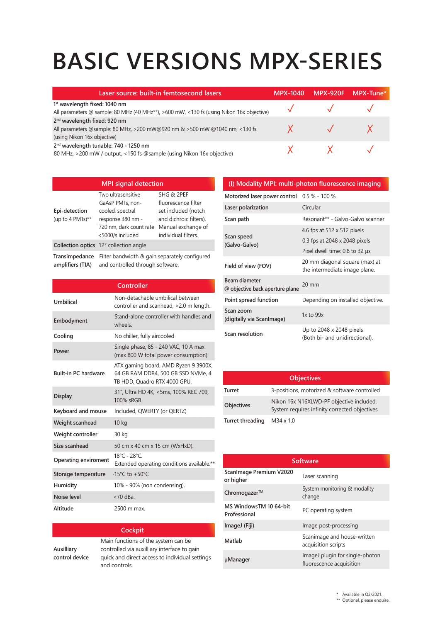## **BASIC VERSIONS MPX-SERIES**

| Laser source: built-in femtosecond lasers                                                                                                             | <b>MPX-1040</b> | <b>MPX-920F</b> | $MPX$ -Tune* |
|-------------------------------------------------------------------------------------------------------------------------------------------------------|-----------------|-----------------|--------------|
| 1 <sup>st</sup> wavelength fixed: 1040 nm<br>All parameters @ sample: 80 MHz (40 MHz**), >600 mW, <130 fs (using Nikon 16x objective)                 |                 |                 |              |
| 2 <sup>nd</sup> wavelength fixed: 920 nm<br>All parameters @sample: 80 MHz, >200 mW@920 nm & >500 mW @1040 nm, <130 fs<br>(using Nikon 16x objective) |                 |                 |              |
| 2 <sup>nd</sup> wavelength tunable: 740 - 1250 nm<br>80 MHz, >200 mW / output, <150 fs @sample (using Nikon 16x objective)                            |                 |                 |              |

| <b>MPI signal detection</b>          |                                                                                                                                 |                                                                                                                                 |
|--------------------------------------|---------------------------------------------------------------------------------------------------------------------------------|---------------------------------------------------------------------------------------------------------------------------------|
| Epi-detection<br>(up to 4 PMTs) $**$ | Two ultrasensitive<br>GaAsP PMTs, non-<br>cooled, spectral<br>response 380 nm -<br>720 nm, dark count rate<br><5000/s included. | SHG & 2PEF<br>fluorescence filter<br>set included (notch<br>and dichroic filters).<br>Manual exchange of<br>individual filters. |
|                                      | Collection optics 12° collection angle                                                                                          |                                                                                                                                 |
| Transimpedance<br>amplifiers (TIA)   | Filter bandwidth & gain separately configured<br>and controlled through software.                                               |                                                                                                                                 |

|                             | Controller                                                                                                 |
|-----------------------------|------------------------------------------------------------------------------------------------------------|
| Umbilical                   | Non-detachable umbilical between<br>controller and scanhead, >2.0 m length.                                |
| Embodyment                  | Stand-alone controller with handles and<br>wheels.                                                         |
| Cooling                     | No chiller, fully aircooled                                                                                |
| Power                       | Single phase, 85 - 240 VAC, 10 A max<br>(max 800 W total power consumption).                               |
| <b>Built-in PC hardware</b> | ATX gaming board, AMD Ryzen 9 3900X,<br>64 GB RAM DDR4, 500 GB SSD NVMe, 4<br>TB HDD, Quadro RTX 4000 GPU. |
| <b>Display</b>              | 31", Ultra HD 4K, <5ms, 100% REC 709,<br>100% sRGB                                                         |
| Keyboard and mouse          | Included, QWERTY (or QERTZ)                                                                                |
| Weight scanhead             | 10 <sub>kg</sub>                                                                                           |
| Weight controller           | 30 kg                                                                                                      |
| Size scanhead               | 50 cm x 40 cm x 15 cm (WxHxD).                                                                             |
| <b>Operating enviroment</b> | $18^{\circ}$ C - 28 $^{\circ}$ C<br>Extended operating conditions available.**                             |
| Storage temperature         | $-15^{\circ}$ C to $+50^{\circ}$ C                                                                         |
| Humidity                    | 10% - 90% (non condensing).                                                                                |
| Noise level                 | $<$ 70 dBa.                                                                                                |
| Altitude                    | 2500 m max.                                                                                                |

#### **Cockpit**

**Auxilliary control device**

Main functions of the system can be controlled via auxilliary interface to gain quick and direct access to individual settings and controls.

#### **(I) Modality MPI: multi-photon fluorescence imaging**

**Motorized laser power control** 0.5 % - 100 %

| Laser polarization                               | Circular                                                                                       |
|--------------------------------------------------|------------------------------------------------------------------------------------------------|
| Scan path                                        | Resonant** - Galvo-Galvo scanner                                                               |
| Scan speed<br>(Galvo-Galvo)                      | 4.6 fps at 512 x 512 pixels<br>0.3 fps at 2048 x 2048 pixels<br>Pixel dwell time: 0.8 to 32 µs |
| Field of view (FOV)                              | 20 mm diagonal square (max) at<br>the intermediate image plane.                                |
| Beam diameter<br>@ objective back aperture plane | $20 \text{ mm}$                                                                                |
| Point spread function                            | Depending on installed objective.                                                              |
| Scan zoom<br>(digitally via ScanImage)           | $1x$ to $99x$                                                                                  |
| Scan resolution                                  | Up to 2048 x 2048 pixels<br>(Both bi- and unidirectional).                                     |

|                  | <b>Objectives</b>                                                                         |
|------------------|-------------------------------------------------------------------------------------------|
| Turret           | 3-positions, motorized & software controlled                                              |
| Objectives       | Nikon 16x N16XLWD-PF objective included.<br>System requires infinity corrected objectives |
| Turret threading | $M34 \times 1.0$                                                                          |

| Software                               |                                                             |  |
|----------------------------------------|-------------------------------------------------------------|--|
| Scanlmage Premium V2020<br>or higher   | Laser scanning                                              |  |
| Chromogazer™                           | System monitoring & modality<br>change                      |  |
| MS WindowsTM 10 64-bit<br>Professional | PC operating system                                         |  |
| ImageJ (Fiji)                          | Image post-processing                                       |  |
| Matlab                                 | Scanimage and house-written<br>acquisition scripts          |  |
| µManager                               | ImageJ plugin for single-photon<br>fluorescence acquisition |  |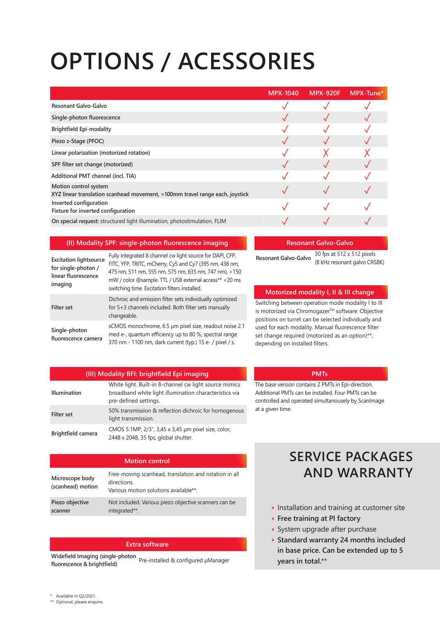## **OPTIONS / ACESSORIES**

|                                                                                                       | <b>MPX-1040</b> | <b>MPX-920F</b> | MPX-Tune* |
|-------------------------------------------------------------------------------------------------------|-----------------|-----------------|-----------|
| Resonant Galvo-Galvo                                                                                  |                 |                 |           |
| Single-photon fluorescence                                                                            |                 |                 |           |
| <b>Brightfield Epi-modality</b>                                                                       |                 |                 |           |
| Piezo z-Stage (PFOC)                                                                                  |                 |                 |           |
| Linear polarization (motorized rotation)                                                              |                 |                 |           |
| SPF filter set change (motorized)                                                                     |                 |                 |           |
| Additional PMT channel (incl. TIA)                                                                    |                 |                 |           |
| Motion control system<br>XYZ linear translation scanhead movement, >100mm travel range each, joystick |                 |                 |           |
| Inverted configuration<br>Fixture for inverted configuration                                          |                 |                 |           |
| On special request: structured light illumination, photostimulation, FLIM                             |                 |                 |           |

#### **(II) Modality SPF: single-photon fluorescence imaging**

| <b>Excitation lightsource</b><br>for single-photon /<br>linear fluorescence<br>imaging | Fully integrated 8 channel cw light source for DAPI, CFP,<br>FITC, YFP, TRITC, mCherry, Cy5 and Cy7 (395 nm, 438 nm,<br>475 nm, 511 nm, 555 nm, 575 nm, 635 nm, 747 nm), >150<br>mW / color @sample. TTL / USB external access** <20 ms<br>switching time. Excitation filters installed. |
|----------------------------------------------------------------------------------------|------------------------------------------------------------------------------------------------------------------------------------------------------------------------------------------------------------------------------------------------------------------------------------------|
| <b>Filter set</b>                                                                      | Dichroic and emission filter sets individually optimized<br>for 5+3 channels included. Both filter sets manually<br>changeable.                                                                                                                                                          |
| Single-photon<br>fluorescence camera                                                   | sCMOS monochrome, 6.5 µm pixel size, readout noise 2.1<br>med e-, quantum efficiency up to 80 %, spectral range<br>370 nm - 1100 nm, dark current (typ.) 15 e- / pixel / s.                                                                                                              |

#### **Resonant Galvo-Galvo**

**Resonant Galvo-Galvo** 30 fps at 512 x 512 pixels (8 kHz resonant galvo CRS8K)

#### **Motorized modality I, II & III change**

Switching between operation mode modality I to III is motorized via Chromogazer™ software. Objective positions on turret can be selected individually and used for each modality. Manual fluorescence filter set change required (motorized as an option)\*\*, depending on installed filters.

| <b>Illumination</b> | White light. Built-in 8-channel cw light source mimics<br>broadband white light illumination characteristics via<br>pre-defined settings. |
|---------------------|-------------------------------------------------------------------------------------------------------------------------------------------|
| <b>Filter set</b>   | 50% transmission & reflection dichroic for homogenous<br>light transmission.                                                              |
| Brightfield camera  | CMOS 5.1MP, 2/3", 3,45 x 3,45 µm pixel size, color,<br>2448 x 2048, 35 fps, global shutter.                                               |

The base version contains 2 PMTs in Epi-direction. Additional PMTs can be installed. Four PMTs can be controlled and operated simultanousely by ScanImage at a given time.

**PMTs**

| <b>Motion control</b>                |                                                                                                              |  |
|--------------------------------------|--------------------------------------------------------------------------------------------------------------|--|
| Microscope body<br>(scanhead) motion | Free-moving scanhead, translation and rotation in all<br>directions<br>Various motion solutions available**. |  |
| Piezo objective<br>scanner           | Not included. Various piezo objective scanners can be<br>integrated**.                                       |  |

#### **Extra software**

**Widefield Imaging (single-photon fluorescence & brightfield)** Pre-installed & configured µManager

### **SERVICE PACKAGES AND WARRANTY**

- **Installation and training at customer site**
- **Free training at PI factory**
- System upgrade after purchase
- **Standard warranty 24 months included in base price. Can be extended up to 5 years in total.**\*\*

- \* Available in Q2/2021.
- \*\* Optional, please enquire.